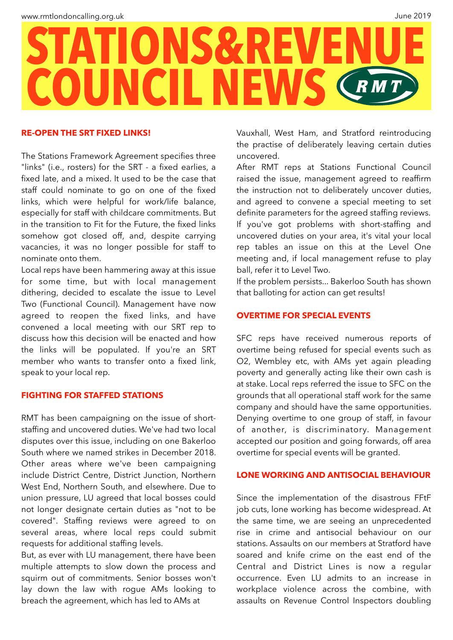

### **RE-OPEN THE SRT FIXED LINKS!**

The Stations Framework Agreement specifies three "links" (i.e., rosters) for the SRT - a fixed earlies, a fixed late, and a mixed. It used to be the case that staff could nominate to go on one of the fixed links, which were helpful for work/life balance, especially for staff with childcare commitments. But in the transition to Fit for the Future, the fixed links somehow got closed off, and, despite carrying vacancies, it was no longer possible for staff to nominate onto them.

Local reps have been hammering away at this issue for some time, but with local management dithering, decided to escalate the issue to Level Two (Functional Council). Management have now agreed to reopen the fixed links, and have convened a local meeting with our SRT rep to discuss how this decision will be enacted and how the links will be populated. If you're an SRT member who wants to transfer onto a fixed link, speak to your local rep.

# **FIGHTING FOR STAFFED STATIONS**

RMT has been campaigning on the issue of shortstaffing and uncovered duties. We've had two local disputes over this issue, including on one Bakerloo South where we named strikes in December 2018. Other areas where we've been campaigning include District Centre, District Junction, Northern West End, Northern South, and elsewhere. Due to union pressure, LU agreed that local bosses could not longer designate certain duties as "not to be covered". Staffing reviews were agreed to on several areas, where local reps could submit requests for additional staffing levels.

But, as ever with LU management, there have been multiple attempts to slow down the process and squirm out of commitments. Senior bosses won't lay down the law with rogue AMs looking to breach the agreement, which has led to AMs at

Vauxhall, West Ham, and Stratford reintroducing the practise of deliberately leaving certain duties uncovered.

After RMT reps at Stations Functional Council raised the issue, management agreed to reaffirm the instruction not to deliberately uncover duties, and agreed to convene a special meeting to set definite parameters for the agreed staffing reviews. If you've got problems with short-staffing and uncovered duties on your area, it's vital your local rep tables an issue on this at the Level One meeting and, if local management refuse to play ball, refer it to Level Two.

If the problem persists... Bakerloo South has shown that balloting for action can get results!

# **OVERTIME FOR SPECIAL EVENTS**

SFC reps have received numerous reports of overtime being refused for special events such as O2, Wembley etc, with AMs yet again pleading poverty and generally acting like their own cash is at stake. Local reps referred the issue to SFC on the grounds that all operational staff work for the same company and should have the same opportunities. Denying overtime to one group of staff, in favour of another, is discriminatory. Management accepted our position and going forwards, off area overtime for special events will be granted.

### **LONE WORKING AND ANTISOCIAL BEHAVIOUR**

Since the implementation of the disastrous FFtF job cuts, lone working has become widespread. At the same time, we are seeing an unprecedented rise in crime and antisocial behaviour on our stations. Assaults on our members at Stratford have soared and knife crime on the east end of the Central and District Lines is now a regular occurrence. Even LU admits to an increase in workplace violence across the combine, with assaults on Revenue Control Inspectors doubling